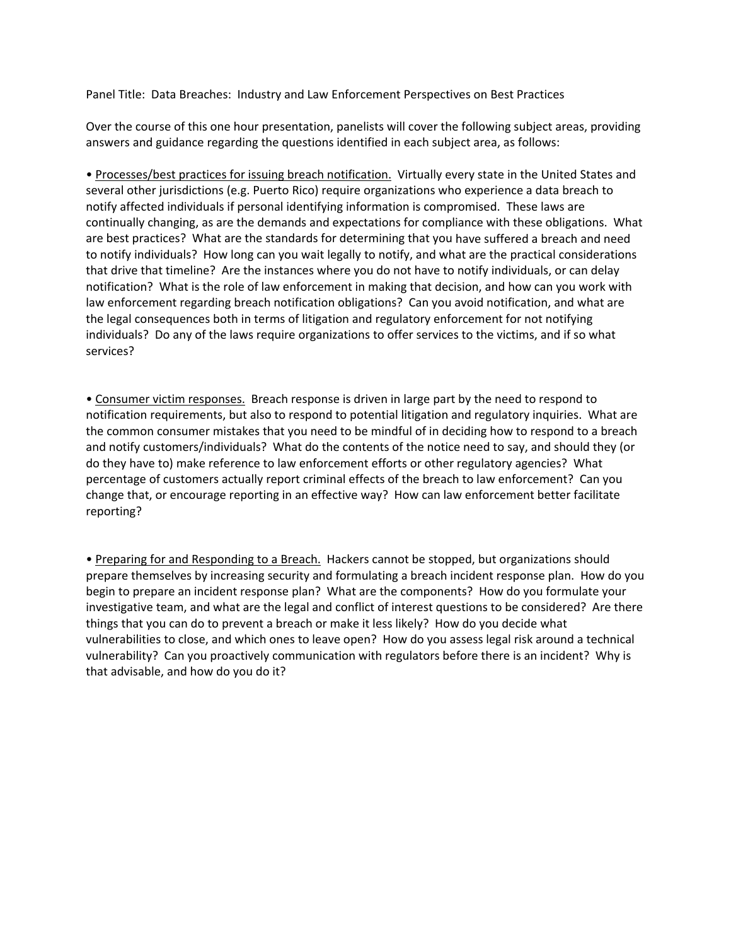Panel Title: Data Breaches: Industry and Law Enforcement Perspectives on Best Practices

Over the course of this one hour presentation, panelists will cover the following subject areas, providing answers and guidance regarding the questions identified in each subject area, as follows:

• Processes/best practices for issuing breach notification. Virtually every state in the United States and several other jurisdictions (e.g. Puerto Rico) require organizations who experience a data breach to notify affected individuals if personal identifying information is compromised. These laws are continually changing, as are the demands and expectations for compliance with these obligations. What are best practices? What are the standards for determining that you have suffered a breach and need to notify individuals? How long can you wait legally to notify, and what are the practical considerations that drive that timeline? Are the instances where you do not have to notify individuals, or can delay notification? What is the role of law enforcement in making that decision, and how can you work with law enforcement regarding breach notification obligations? Can you avoid notification, and what are the legal consequences both in terms of litigation and regulatory enforcement for not notifying individuals? Do any of the laws require organizations to offer services to the victims, and if so what services?

• Consumer victim responses. Breach response is driven in large part by the need to respond to notification requirements, but also to respond to potential litigation and regulatory inquiries. What are the common consumer mistakes that you need to be mindful of in deciding how to respond to a breach and notify customers/individuals? What do the contents of the notice need to say, and should they (or do they have to) make reference to law enforcement efforts or other regulatory agencies? What percentage of customers actually report criminal effects of the breach to law enforcement? Can you change that, or encourage reporting in an effective way? How can law enforcement better facilitate reporting?

• Preparing for and Responding to a Breach. Hackers cannot be stopped, but organizations should prepare themselves by increasing security and formulating a breach incident response plan. How do you begin to prepare an incident response plan? What are the components? How do you formulate your investigative team, and what are the legal and conflict of interest questions to be considered? Are there things that you can do to prevent a breach or make it less likely? How do you decide what vulnerabilities to close, and which ones to leave open? How do you assess legal risk around a technical vulnerability? Can you proactively communication with regulators before there is an incident? Why is that advisable, and how do you do it?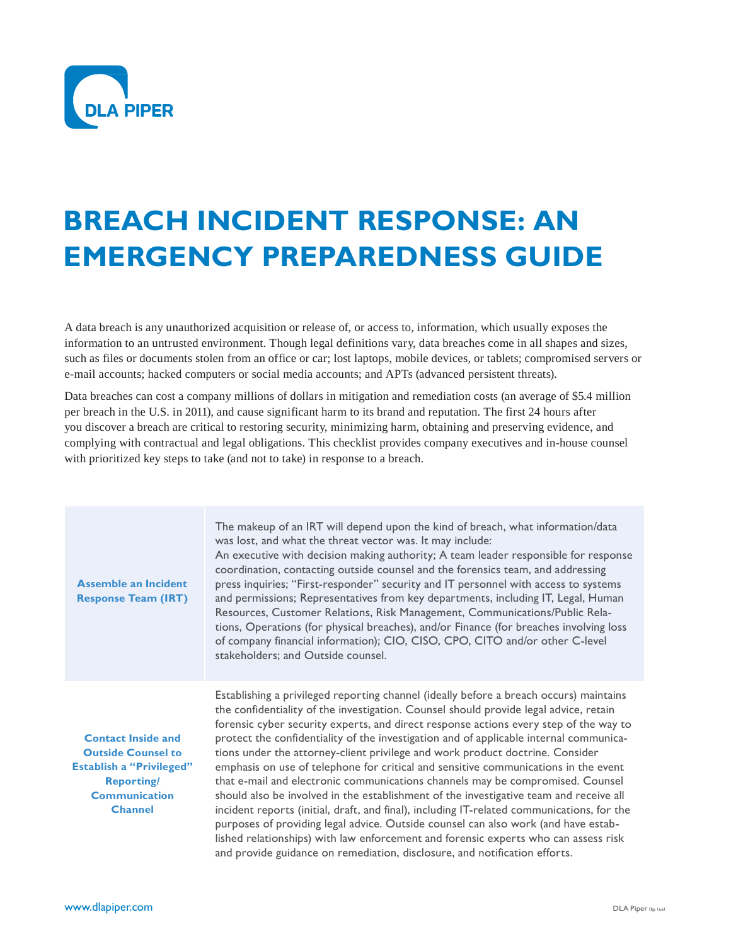

# **BREACH INCIDENT RESPONSE: AN EMERGENCY PREPAREDNESS GUIDE**

A data breach is any unauthorized acquisition or release of, or access to, information, which usually exposes the information to an untrusted environment. Though legal definitions vary, data breaches come in all shapes and sizes, such as files or documents stolen from an office or car; lost laptops, mobile devices, or tablets; compromised servers or e-mail accounts; hacked computers or social media accounts; and APTs (advanced persistent threats).

Data breaches can cost a company millions of dollars in mitigation and remediation costs (an average of \$5.4 million per breach in the U.S. in 2011), and cause significant harm to its brand and reputation. The first 24 hours after you discover a breach are critical to restoring security, minimizing harm, obtaining and preserving evidence, and complying with contractual and legal obligations. This checklist provides company executives and in-house counsel with prioritized key steps to take (and not to take) in response to a breach.

| <b>Assemble an Incident</b><br><b>Response Team (IRT)</b>                                                                                                | The makeup of an IRT will depend upon the kind of breach, what information/data<br>was lost, and what the threat vector was. It may include:<br>An executive with decision making authority; A team leader responsible for response<br>coordination, contacting outside counsel and the forensics team, and addressing<br>press inquiries; "First-responder" security and IT personnel with access to systems<br>and permissions; Representatives from key departments, including IT, Legal, Human<br>Resources, Customer Relations, Risk Management, Communications/Public Rela-<br>tions, Operations (for physical breaches), and/or Finance (for breaches involving loss<br>of company financial information); CIO, CISO, CPO, CITO and/or other C-level<br>stakeholders; and Outside counsel.                                                                                                                                                                                                                                                                               |
|----------------------------------------------------------------------------------------------------------------------------------------------------------|---------------------------------------------------------------------------------------------------------------------------------------------------------------------------------------------------------------------------------------------------------------------------------------------------------------------------------------------------------------------------------------------------------------------------------------------------------------------------------------------------------------------------------------------------------------------------------------------------------------------------------------------------------------------------------------------------------------------------------------------------------------------------------------------------------------------------------------------------------------------------------------------------------------------------------------------------------------------------------------------------------------------------------------------------------------------------------|
| <b>Contact Inside and</b><br><b>Outside Counsel to</b><br><b>Establish a "Privileged"</b><br><b>Reporting/</b><br><b>Communication</b><br><b>Channel</b> | Establishing a privileged reporting channel (ideally before a breach occurs) maintains<br>the confidentiality of the investigation. Counsel should provide legal advice, retain<br>forensic cyber security experts, and direct response actions every step of the way to<br>protect the confidentiality of the investigation and of applicable internal communica-<br>tions under the attorney-client privilege and work product doctrine. Consider<br>emphasis on use of telephone for critical and sensitive communications in the event<br>that e-mail and electronic communications channels may be compromised. Counsel<br>should also be involved in the establishment of the investigative team and receive all<br>incident reports (initial, draft, and final), including IT-related communications, for the<br>purposes of providing legal advice. Outside counsel can also work (and have estab-<br>lished relationships) with law enforcement and forensic experts who can assess risk<br>and provide guidance on remediation, disclosure, and notification efforts. |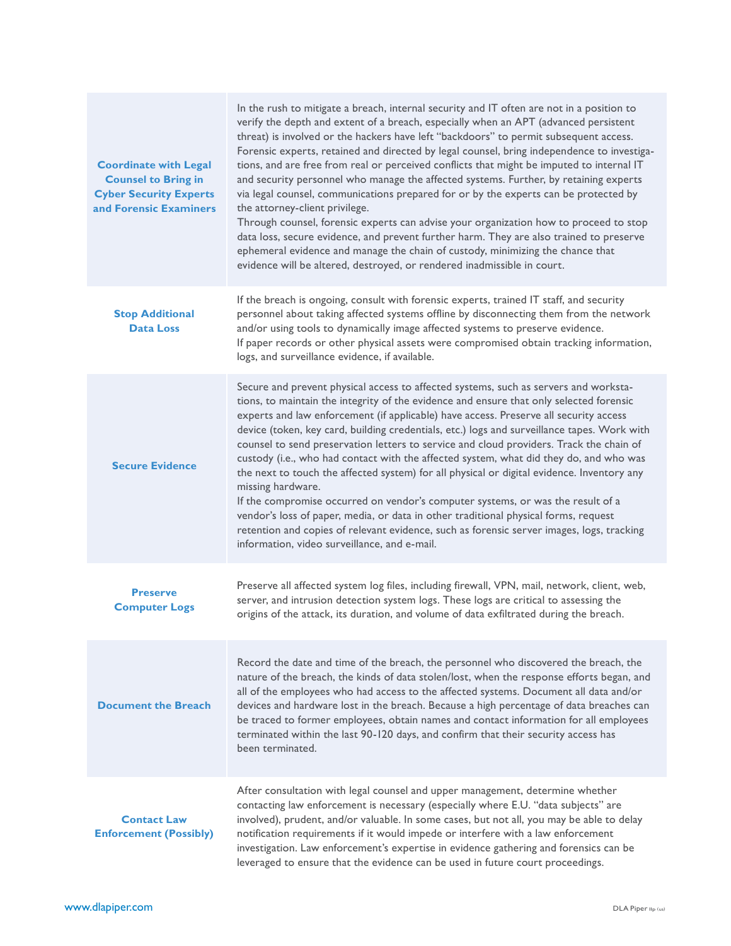| <b>Coordinate with Legal</b><br><b>Counsel to Bring in</b><br><b>Cyber Security Experts</b><br>and Forensic Examiners | In the rush to mitigate a breach, internal security and IT often are not in a position to<br>verify the depth and extent of a breach, especially when an APT (advanced persistent<br>threat) is involved or the hackers have left "backdoors" to permit subsequent access.<br>Forensic experts, retained and directed by legal counsel, bring independence to investiga-<br>tions, and are free from real or perceived conflicts that might be imputed to internal IT<br>and security personnel who manage the affected systems. Further, by retaining experts<br>via legal counsel, communications prepared for or by the experts can be protected by<br>the attorney-client privilege.<br>Through counsel, forensic experts can advise your organization how to proceed to stop<br>data loss, secure evidence, and prevent further harm. They are also trained to preserve<br>ephemeral evidence and manage the chain of custody, minimizing the chance that<br>evidence will be altered, destroyed, or rendered inadmissible in court. |
|-----------------------------------------------------------------------------------------------------------------------|-------------------------------------------------------------------------------------------------------------------------------------------------------------------------------------------------------------------------------------------------------------------------------------------------------------------------------------------------------------------------------------------------------------------------------------------------------------------------------------------------------------------------------------------------------------------------------------------------------------------------------------------------------------------------------------------------------------------------------------------------------------------------------------------------------------------------------------------------------------------------------------------------------------------------------------------------------------------------------------------------------------------------------------------|
| <b>Stop Additional</b><br><b>Data Loss</b>                                                                            | If the breach is ongoing, consult with forensic experts, trained IT staff, and security<br>personnel about taking affected systems offline by disconnecting them from the network<br>and/or using tools to dynamically image affected systems to preserve evidence.<br>If paper records or other physical assets were compromised obtain tracking information,<br>logs, and surveillance evidence, if available.                                                                                                                                                                                                                                                                                                                                                                                                                                                                                                                                                                                                                          |
| <b>Secure Evidence</b>                                                                                                | Secure and prevent physical access to affected systems, such as servers and worksta-<br>tions, to maintain the integrity of the evidence and ensure that only selected forensic<br>experts and law enforcement (if applicable) have access. Preserve all security access<br>device (token, key card, building credentials, etc.) logs and surveillance tapes. Work with<br>counsel to send preservation letters to service and cloud providers. Track the chain of<br>custody (i.e., who had contact with the affected system, what did they do, and who was<br>the next to touch the affected system) for all physical or digital evidence. Inventory any<br>missing hardware.<br>If the compromise occurred on vendor's computer systems, or was the result of a<br>vendor's loss of paper, media, or data in other traditional physical forms, request<br>retention and copies of relevant evidence, such as forensic server images, logs, tracking<br>information, video surveillance, and e-mail.                                    |
| <b>Preserve</b><br><b>Computer Logs</b>                                                                               | Preserve all affected system log files, including firewall, VPN, mail, network, client, web,<br>server, and intrusion detection system logs. These logs are critical to assessing the<br>origins of the attack, its duration, and volume of data exfiltrated during the breach.                                                                                                                                                                                                                                                                                                                                                                                                                                                                                                                                                                                                                                                                                                                                                           |
| <b>Document the Breach</b>                                                                                            | Record the date and time of the breach, the personnel who discovered the breach, the<br>nature of the breach, the kinds of data stolen/lost, when the response efforts began, and<br>all of the employees who had access to the affected systems. Document all data and/or<br>devices and hardware lost in the breach. Because a high percentage of data breaches can<br>be traced to former employees, obtain names and contact information for all employees<br>terminated within the last 90-120 days, and confirm that their security access has<br>been terminated.                                                                                                                                                                                                                                                                                                                                                                                                                                                                  |
| <b>Contact Law</b><br><b>Enforcement (Possibly)</b>                                                                   | After consultation with legal counsel and upper management, determine whether<br>contacting law enforcement is necessary (especially where E.U. "data subjects" are<br>involved), prudent, and/or valuable. In some cases, but not all, you may be able to delay<br>notification requirements if it would impede or interfere with a law enforcement<br>investigation. Law enforcement's expertise in evidence gathering and forensics can be<br>leveraged to ensure that the evidence can be used in future court proceedings.                                                                                                                                                                                                                                                                                                                                                                                                                                                                                                           |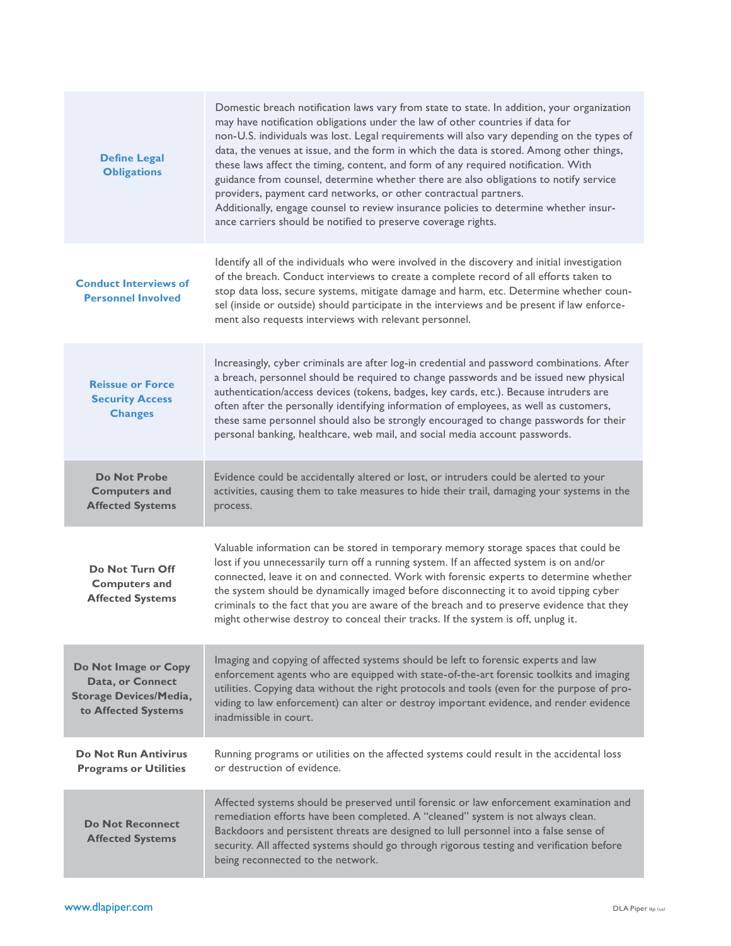| <b>Define Legal</b><br><b>Obligations</b>                                                        | Domestic breach notification laws vary from state to state. In addition, your organization<br>may have notification obligations under the law of other countries if data for<br>non-U.S. individuals was lost. Legal requirements will also vary depending on the types of<br>data, the venues at issue, and the form in which the data is stored. Among other things,<br>these laws affect the timing, content, and form of any required notification. With<br>guidance from counsel, determine whether there are also obligations to notify service<br>providers, payment card networks, or other contractual partners.<br>Additionally, engage counsel to review insurance policies to determine whether insur-<br>ance carriers should be notified to preserve coverage rights. |
|--------------------------------------------------------------------------------------------------|-------------------------------------------------------------------------------------------------------------------------------------------------------------------------------------------------------------------------------------------------------------------------------------------------------------------------------------------------------------------------------------------------------------------------------------------------------------------------------------------------------------------------------------------------------------------------------------------------------------------------------------------------------------------------------------------------------------------------------------------------------------------------------------|
| <b>Conduct Interviews of</b><br><b>Personnel Involved</b>                                        | Identify all of the individuals who were involved in the discovery and initial investigation<br>of the breach. Conduct interviews to create a complete record of all efforts taken to<br>stop data loss, secure systems, mitigate damage and harm, etc. Determine whether coun-<br>sel (inside or outside) should participate in the interviews and be present if law enforce-<br>ment also requests interviews with relevant personnel.                                                                                                                                                                                                                                                                                                                                            |
| <b>Reissue or Force</b><br><b>Security Access</b><br><b>Changes</b>                              | Increasingly, cyber criminals are after log-in credential and password combinations. After<br>a breach, personnel should be required to change passwords and be issued new physical<br>authentication/access devices (tokens, badges, key cards, etc.). Because intruders are<br>often after the personally identifying information of employees, as well as customers,<br>these same personnel should also be strongly encouraged to change passwords for their<br>personal banking, healthcare, web mail, and social media account passwords.                                                                                                                                                                                                                                     |
| <b>Do Not Probe</b><br><b>Computers and</b><br><b>Affected Systems</b>                           | Evidence could be accidentally altered or lost, or intruders could be alerted to your<br>activities, causing them to take measures to hide their trail, damaging your systems in the<br>process.                                                                                                                                                                                                                                                                                                                                                                                                                                                                                                                                                                                    |
| Do Not Turn Off<br><b>Computers and</b><br><b>Affected Systems</b>                               | Valuable information can be stored in temporary memory storage spaces that could be<br>lost if you unnecessarily turn off a running system. If an affected system is on and/or<br>connected, leave it on and connected. Work with forensic experts to determine whether<br>the system should be dynamically imaged before disconnecting it to avoid tipping cyber<br>criminals to the fact that you are aware of the breach and to preserve evidence that they<br>might otherwise destroy to conceal their tracks. If the system is off, unplug it.                                                                                                                                                                                                                                 |
| Do Not Image or Copy<br>Data, or Connect<br><b>Storage Devices/Media,</b><br>to Affected Systems | Imaging and copying of affected systems should be left to forensic experts and law<br>enforcement agents who are equipped with state-of-the-art forensic toolkits and imaging<br>utilities. Copying data without the right protocols and tools (even for the purpose of pro-<br>viding to law enforcement) can alter or destroy important evidence, and render evidence<br>inadmissible in court.                                                                                                                                                                                                                                                                                                                                                                                   |
| <b>Do Not Run Antivirus</b><br><b>Programs or Utilities</b>                                      | Running programs or utilities on the affected systems could result in the accidental loss<br>or destruction of evidence.                                                                                                                                                                                                                                                                                                                                                                                                                                                                                                                                                                                                                                                            |
| <b>Do Not Reconnect</b><br><b>Affected Systems</b>                                               | Affected systems should be preserved until forensic or law enforcement examination and<br>remediation efforts have been completed. A "cleaned" system is not always clean.<br>Backdoors and persistent threats are designed to lull personnel into a false sense of<br>security. All affected systems should go through rigorous testing and verification before<br>being reconnected to the network.                                                                                                                                                                                                                                                                                                                                                                               |